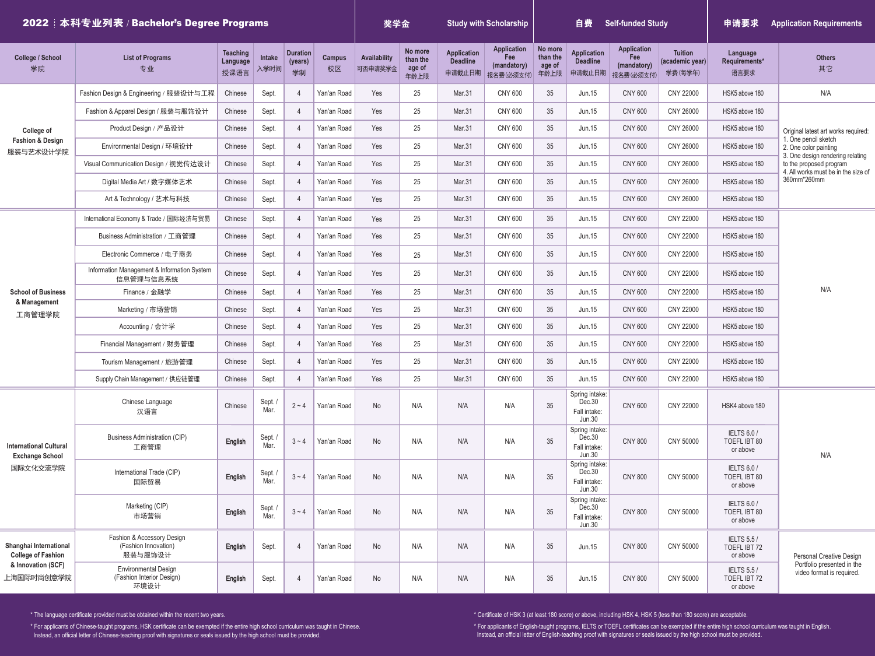| 2022 法科专业列表 / Bachelor's Degree Programs                                                |                                                                  |                                     |                |                                  |                     |                         | 奖学金                                   |                                                 | <b>Study with Scholarship</b>                         | <b>Self-funded Study</b><br>自费        |                                                           |                                                       |                                              | 申请要求                                           | <b>Application Requirements</b>                                                                                                                                    |  |  |
|-----------------------------------------------------------------------------------------|------------------------------------------------------------------|-------------------------------------|----------------|----------------------------------|---------------------|-------------------------|---------------------------------------|-------------------------------------------------|-------------------------------------------------------|---------------------------------------|-----------------------------------------------------------|-------------------------------------------------------|----------------------------------------------|------------------------------------------------|--------------------------------------------------------------------------------------------------------------------------------------------------------------------|--|--|
| <b>College / School</b><br>学院                                                           | <b>List of Programs</b><br>专业                                    | <b>Teaching</b><br>Language<br>授课语言 | Intake<br>入学时间 | <b>Duration</b><br>(years)<br>学制 | <b>Campus</b><br>校区 | Availability<br>可否申请奖学金 | No more<br>than the<br>age of<br>年龄上限 | <b>Application</b><br><b>Deadline</b><br>申请截止日期 | <b>Application</b><br>Fee<br>(mandatory)<br>报名费(必须支付) | No more<br>than the<br>age of<br>年龄上限 | <b>Application</b><br><b>Deadline</b><br>申请截止日期           | <b>Application</b><br>Fee<br>(mandatory)<br>报名费(必须支付) | <b>Tuition</b><br>(academic year)<br>学费(每学年) | Language<br>Requirements*<br>语言要求              | <b>Others</b><br>其它                                                                                                                                                |  |  |
| College of<br><b>Fashion &amp; Design</b><br>服装与艺术设计学院                                  | Fashion Design & Engineering / 服装设计与工程                           | Chinese                             | Sept.          | $\overline{4}$                   | Yan'an Road         | Yes                     | 25                                    | Mar.31                                          | <b>CNY 600</b>                                        | $35\,$                                | Jun.15                                                    | <b>CNY 600</b>                                        | CNY 22000                                    | HSK5 above 180                                 | N/A                                                                                                                                                                |  |  |
|                                                                                         | Fashion & Apparel Design / 服装与服饰设计                               | Chinese                             | Sept.          | $\overline{4}$                   | Yan'an Road         | Yes                     | 25                                    | Mar.31                                          | <b>CNY 600</b>                                        | 35                                    | Jun.15                                                    | <b>CNY 600</b>                                        | CNY 26000                                    | HSK5 above 180                                 |                                                                                                                                                                    |  |  |
|                                                                                         | Product Design / 产品设计                                            | Chinese                             | Sept.          | $\overline{4}$                   | Yan'an Road         | Yes                     | 25                                    | Mar.31                                          | <b>CNY 600</b>                                        | 35                                    | Jun.15                                                    | <b>CNY 600</b>                                        | CNY 26000                                    | HSK5 above 180                                 | Original latest art works required:                                                                                                                                |  |  |
|                                                                                         | Environmental Design / 环境设计                                      | Chinese                             | Sept.          | $\overline{4}$                   | Yan'an Road         | Yes                     | 25                                    | Mar.31                                          | <b>CNY 600</b>                                        | 35                                    | <b>Jun.15</b>                                             | <b>CNY 600</b>                                        | CNY 26000                                    | HSK5 above 180                                 | 1. One pencil sketch<br>2. One color painting<br>3. One design rendering relating<br>to the proposed program<br>4. All works must be in the size of<br>360mm*260mm |  |  |
|                                                                                         | Visual Communication Design / 视觉传达设计                             | Chinese                             | Sept.          | $\overline{4}$                   | Yan'an Road         | Yes                     | 25                                    | Mar.31                                          | <b>CNY 600</b>                                        | 35                                    | Jun.15                                                    | <b>CNY 600</b>                                        | CNY 26000                                    | HSK5 above 180                                 |                                                                                                                                                                    |  |  |
|                                                                                         | Digital Media Art / 数字媒体艺术                                       | Chinese                             | Sept.          | $\overline{4}$                   | Yan'an Road         | Yes                     | 25                                    | Mar.31                                          | <b>CNY 600</b>                                        | 35                                    | Jun.15                                                    | <b>CNY 600</b>                                        | CNY 26000                                    | HSK5 above 180                                 |                                                                                                                                                                    |  |  |
|                                                                                         | Art & Technology / 艺术与科技                                         | Chinese                             | Sept.          | $\overline{4}$                   | Yan'an Road         | Yes                     | 25                                    | Mar.31                                          | <b>CNY 600</b>                                        | 35                                    | Jun.15                                                    | <b>CNY 600</b>                                        | CNY 26000                                    | HSK5 above 180                                 |                                                                                                                                                                    |  |  |
|                                                                                         | International Economy & Trade / 国际经济与贸易                          | Chinese                             | Sept.          | $\overline{4}$                   | Yan'an Road         | Yes                     | 25                                    | Mar.31                                          | <b>CNY 600</b>                                        | 35                                    | <b>Jun.15</b>                                             | <b>CNY 600</b>                                        | CNY 22000                                    | HSK5 above 180                                 |                                                                                                                                                                    |  |  |
|                                                                                         | Business Administration / 丁商管理                                   | Chinese                             | Sept.          | $\overline{4}$                   | Yan'an Road         | Yes                     | 25                                    | Mar.31                                          | <b>CNY 600</b>                                        | 35                                    | Jun.15                                                    | <b>CNY 600</b>                                        | CNY 22000                                    | HSK5 above 180                                 |                                                                                                                                                                    |  |  |
|                                                                                         | Electronic Commerce / 电子商务                                       | Chinese                             | Sept.          | $\overline{4}$                   | Yan'an Road         | Yes                     | 25                                    | Mar.31                                          | <b>CNY 600</b>                                        | 35                                    | Jun.15                                                    | <b>CNY 600</b>                                        | CNY 22000                                    | HSK5 above 180                                 |                                                                                                                                                                    |  |  |
|                                                                                         | Information Management & Information System<br>信息管理与信息系统         | Chinese                             | Sept.          | $\overline{4}$                   | Yan'an Road         | Yes                     | 25                                    | Mar.31                                          | <b>CNY 600</b>                                        | $35\,$                                | <b>Jun.15</b>                                             | <b>CNY 600</b>                                        | CNY 22000                                    | HSK5 above 180                                 | N/A                                                                                                                                                                |  |  |
| <b>School of Business</b>                                                               | Finance / 金融学                                                    | Chinese                             | Sept.          | $\overline{4}$                   | Yan'an Road         | Yes                     | 25                                    | Mar.31                                          | <b>CNY 600</b>                                        | 35                                    | <b>Jun.15</b>                                             | <b>CNY 600</b>                                        | CNY 22000                                    | HSK5 above 180                                 |                                                                                                                                                                    |  |  |
| & Management<br>工商管理学院                                                                  | Marketing / 市场营销                                                 | Chinese                             | Sept.          | $\overline{4}$                   | Yan'an Road         | Yes                     | 25                                    | Mar.31                                          | <b>CNY 600</b>                                        | 35                                    | Jun.15                                                    | <b>CNY 600</b>                                        | CNY 22000                                    | HSK5 above 180                                 |                                                                                                                                                                    |  |  |
|                                                                                         | Accounting / 会计学                                                 | Chinese                             | Sept.          | $\overline{4}$                   | Yan'an Road         | Yes                     | 25                                    | Mar.31                                          | <b>CNY 600</b>                                        | 35                                    | <b>Jun.15</b>                                             | <b>CNY 600</b>                                        | CNY 22000                                    | HSK5 above 180                                 |                                                                                                                                                                    |  |  |
|                                                                                         | Financial Management / 财务管理                                      | Chinese                             | Sept.          | $\overline{4}$                   | Yan'an Road         | Yes                     | 25                                    | Mar.31                                          | <b>CNY 600</b>                                        | 35                                    | Jun.15                                                    | <b>CNY 600</b>                                        | CNY 22000                                    | HSK5 above 180                                 |                                                                                                                                                                    |  |  |
|                                                                                         | Tourism Management / 旅游管理                                        | Chinese                             | Sept.          | $\overline{4}$                   | Yan'an Road         | Yes                     | 25                                    | Mar.31                                          | <b>CNY 600</b>                                        | 35                                    | Jun.15                                                    | <b>CNY 600</b>                                        | CNY 22000                                    | HSK5 above 180                                 |                                                                                                                                                                    |  |  |
|                                                                                         | Supply Chain Management / 供应链管理                                  | Chinese                             | Sept.          | $\overline{4}$                   | Yan'an Road         | Yes                     | 25                                    | Mar.31                                          | <b>CNY 600</b>                                        | 35                                    | Jun.15                                                    | <b>CNY 600</b>                                        | CNY 22000                                    | HSK5 above 180                                 |                                                                                                                                                                    |  |  |
| <b>International Cultural</b><br><b>Exchange School</b><br>国际文化交流学院                     | Chinese Language<br>汉语言                                          | Chinese                             | Sept.<br>Mar.  | $2 \sim 4$                       | Yan'an Road         | No                      | N/A                                   | N/A                                             | N/A                                                   | 35                                    | Spring intake:<br>Dec.30<br>Fall intake:<br>Jun.30        | <b>CNY 600</b>                                        | CNY 22000                                    | HSK4 above 180                                 | N/A                                                                                                                                                                |  |  |
|                                                                                         | <b>Business Administration (CIP)</b><br>工商管理                     | English                             | Sept.<br>Mar.  | $3 \sim 4$                       | Yan'an Road         | No                      | N/A                                   | N/A                                             | N/A                                                   | 35                                    | Spring intake:<br>Dec.30<br>Fall intake:<br><b>Jun.30</b> | <b>CNY 800</b>                                        | CNY 50000                                    | <b>IELTS 6.0 /</b><br>TOEFL IBT 80<br>or above |                                                                                                                                                                    |  |  |
|                                                                                         | International Trade (CIP)<br>国际贸易                                | English                             | Sept.<br>Mar.  | $3 \sim 4$                       | Yan'an Road         | No                      | N/A                                   | N/A                                             | N/A                                                   | 35                                    | Spring intake:<br>Dec.30<br>Fall intake:<br>Jun.30        | <b>CNY 800</b>                                        | CNY 50000                                    | <b>IELTS 6.0 /</b><br>TOEFL IBT 80<br>or above |                                                                                                                                                                    |  |  |
|                                                                                         | Marketing (CIP)<br>市场营销                                          | English                             | Sept.<br>Mar.  | $3 \sim 4$                       | Yan'an Road         | No                      | N/A                                   | N/A                                             | N/A                                                   | 35                                    | Spring intake:<br>Dec.30<br>Fall intake:<br>Jun.30        | <b>CNY 800</b>                                        | CNY 50000                                    | <b>IELTS 6.0 /</b><br>TOEFL IBT 80<br>or above |                                                                                                                                                                    |  |  |
| Shanghai International<br><b>College of Fashion</b><br>& Innovation (SCF)<br>上海国际时尚创意学院 | Fashion & Accessory Design<br>(Fashion Innovation)<br>服装与服饰设计    | English                             | Sept.          | $\overline{4}$                   | Yan'an Road         | No                      | N/A                                   | N/A                                             | N/A                                                   | 35                                    | <b>Jun.15</b>                                             | <b>CNY 800</b>                                        | CNY 50000                                    | <b>IELTS 5.5 /</b><br>TOEFL IBT 72<br>or above | <b>Personal Creative Design</b><br>Portfolio presented in the<br>video format is required.                                                                         |  |  |
|                                                                                         | <b>Environmental Design</b><br>(Fashion Interior Design)<br>环境设计 | English                             | Sept.          | $\overline{4}$                   | Yan'an Road         | No                      | N/A                                   | N/A                                             | N/A                                                   | 35                                    | <b>Jun.15</b>                                             | <b>CNY 800</b>                                        | CNY 50000                                    | <b>IELTS 5.5/</b><br>TOEFL IBT 72<br>or above  |                                                                                                                                                                    |  |  |

\* The language certificate provided must be obtained within the recent two years.

\* For applicants of Chinese-taught programs, HSK certificate can be exempted if the entire high school curriculum was taught in Chinese. Instead, an official letter of Chinese-teaching proof with signatures or seals issued by the high school must be provided.

\* Certificate of HSK 3 (at least 180 score) or above, including HSK 4, HSK 5 (less than 180 score) are acceptable.

ssued by the high school must be provided. We also used to a second the control of the material effect of English-teaching proof with signatures or seals is: \* For applicants of English-taught programs, IELTS or TOEFL certificates can be exempted if the entire high school curriculum was taught in English. Instead, an official letter of English-teaching proof with signatures or seals issued by the high school must be provided.